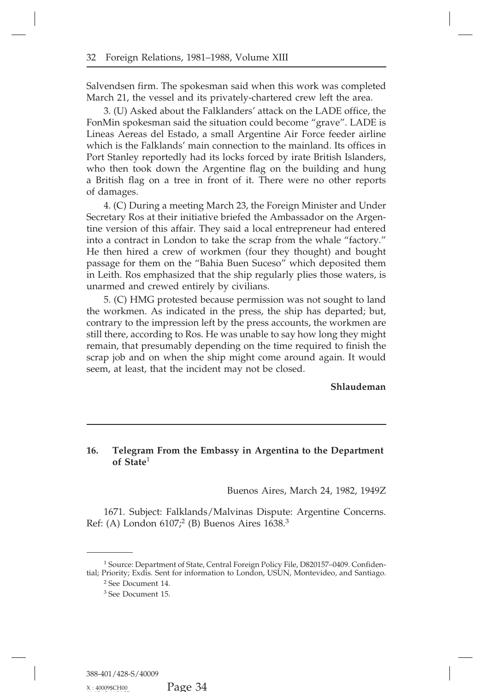**16.** Telegram From the Embassy in Argentina to the Department<br>of State<sup>1</sup><br>Buenos Aires, March 24, 1982, 1949Z Telegram From<br>of State<sup>1</sup><br>73 . . . . . . . . . . ssy in Argentina to the Department<br>Buenos Aires, March 24, 1982, 1949Z<br>Ivinas Dispute: Argentine Concerns.

1671. Subject: Falklands/Malvinas Dispute: Argentine Concerns.<br>
(A) London 6107;<sup>2</sup> (B) Buenos Aires 1638.<sup>3</sup> Buenos Aires, March<br>1671. Subject: Falklands/Malvinas Dispute: Arge<br>Ref: (A) London 6107;<sup>2</sup> (B) Buenos Aires 1638.<sup>3</sup>

1671. Subject: Falklands/Malvinas Dispute: Argentine Concerns.<br>
Ref: (A) London  $6107<sup>2</sup>$  (B) Buenos Aires  $1638.<sup>3</sup>$ <br>  $^1$  Source: Department of State, Central Foreign Policy File, D820157–0409. Confidential; Prio The Case of School of the School of State, Central Foreign Policy File, D820157–0409. Confidential; Priority; Exdis. Sent for information to London, USUN, Montevideo, and Santiago. <sup>2</sup> See Document 14. <sup>3</sup> See Document 15.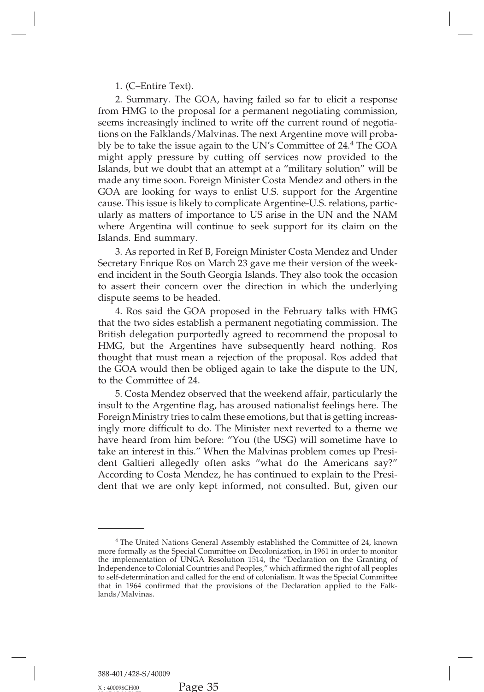1. (C–Entire Text).<br>2. Summary. The GOA<br>1 HMG to the proposal 1. (C–Entire Text).<br>2. Summary. The GOA, having failed so far to elicit a response<br>1 HMG to the proposal for a permanent negotiating commission,<br>ns increasingly inclined to write off the current round of negotia-<br>near the 1. (C–Entire Text).<br>
2. Summary. The GOA, having failed so far to elicit a response<br>
from HMG to the proposal for a permanent negotiating commission,<br>
seems increasingly inclined to write off the current round of negotia-<br> 1. (C–Entire Text).<br>
2. Summary. The GOA, having failed so far to elicit a response<br>
from HMG to the proposal for a permanent negotiating commission,<br>
seems increasingly inclined to write off the current round of negotia-<br> 1. (C–Entire Text).<br>
2. Summary. The GOA, having failed so far to elicit a response<br>
from HMG to the proposal for a permanent negotiating commission,<br>
seems increasingly inclined to write off the current round of negotia-<br> 1. (C–Entire Text).<br>
2. Summary. The GOA, having failed so far to elicit a response<br>
from HMG to the proposal for a permanent negotiating commission,<br>
seems increasingly inclined to write off the current round of negotia-<br> 2. Summary. The GOA, having failed so far to elicit a response<br>from HMG to the proposal for a permanent negotiating commission,<br>seems increasingly inclined to write off the current round of negotia-<br>tions on the Falklands/ from HMG to the proposal for a permanent negotiating commission,<br>seems increasingly inclined to write off the current round of negotia-<br>tions on the Falklands/Malvinas. The next Argentine move will proba-<br>bly be to take th seems increasingly inclined to write off the current round of negotiations on the Falklands/Malvinas. The next Argentine move will probably be to take the issue again to the UN's Committee of 24.<sup>4</sup> The GOA might apply pre tions on the Falklands/Malvinas. The next Argentine move will probably be to take the issue again to the UN's Committee of 24.<sup>4</sup> The GOA might apply pressure by cutting off services now provided to the Islands, but we dou bly be to take the issue again to the UN's Committee of 24.<sup>4</sup> The GOA might apply pressure by cutting off services now provided to the Islands, but we doubt that an attempt at a "military solution" will be made any time s might apply pressure by cutting off services now provided to the Islands, but we doubt that an attempt at a "military solution" will be made any time soon. Foreign Minister Costa Mendez and others in the GOA are looking fo Islands, but we doubt that an attempt at a "military solution" will be made any time soon. Foreign Minister Costa Mendez and others in the GOA are looking for ways to enlist U.S. support for the Argentine cause. This issue GOA are looking for ways to enlist U.S. support for the Argentine cause. This issue is likely to complicate Argentine-U.S. relations, particularly as matters of importance to US arise in the UN and the NAM where Argentina A are looking for ways to enlist U.S. support for the Argentine<br>ie. This issue is likely to complicate Argentine-U.S. relations, partic-<br>ly as matters of importance to US arise in the UN and the NAM<br>re Argentina will conti

cause. This issue is likely to complicate Argentine-U.S. relations, particularly as matters of importance to US arise in the UN and the NAM where Argentina will continue to seek support for its claim on the Islands. End su ularly as matters of importance to US arise in the UN and the NAM<br>where Argentina will continue to seek support for its claim on the<br>Islands. End summary.<br>3. As reported in Ref B, Foreign Minister Costa Mendez and Under<br>Se where Argentina will continue to seek support tor its claim on the Islands. End summary.<br>
3. As reported in Ref B, Foreign Minister Costa Mendez and Under<br>
Secretary Enrique Ros on March 23 gave me their version of the wee Islands. End summary.<br>
3. As reported in Ref B, Foreig<br>
Secretary Enrique Ros on March 2<br>
end incident in the South Georgia<br>
to assert their concern over the<br>
dispute seems to be headed.<br>
4. Ros said the GOA propose<br>
that 3. As reported in Ref B, Foreign Minister Costa Mendez and Under<br>etary Enrique Ros on March 23 gave me their version of the week-<br>incident in the South Georgia Islands. They also took the occasion<br>ssert their concern over

Secretary Enrique Ros on March 23 gave me their version of the week-<br>end incident in the South Georgia Islands. They also took the occasion<br>to assert their concern over the direction in which the underlying<br>dispute seems t end incident in the South Georgia Islands. They also took the occasion<br>to assert their concern over the direction in which the underlying<br>dispute seems to be headed.<br>4. Ros said the GOA proposed in the February talks with to assert their concern over the direction in which the underlying<br>dispute seems to be headed.<br>4. Ros said the GOA proposed in the February talks with HMG<br>that the two sides establish a permanent negotiating commission. Th dispute seems to be headed.<br>4. Ros said the GOA proposed in the February talks with HMG<br>that the two sides establish a permanent negotiating commission. The<br>British delegation purportedly agreed to recommend the proposal t 4. Ros said the GOA proposed in the February talks with HMG<br>that the two sides establish a permanent negotiating commission. The<br>British delegation purportedly agreed to recommend the proposal to<br>HMG, but the Argentines ha British delegation purportedly agreed to recommend the proposal to HMG, but the Argentines have subsequently heard nothing. Ros thought that must mean a rejection of the proposal. Ros added that the GOA would then be oblig sh delegation purportedly agreed to recommend the proposal to G, but the Argentines have subsequently heard nothing. Ros aght that must mean a rejection of the proposal. Ros added that GOA would then be obliged again to ta

HMG, but the Argentines have subsequently heard nothing. Ros<br>thought that must mean a rejection of the proposal. Ros added that<br>the GOA would then be obliged again to take the dispute to the UN,<br>to the Committee of 24.<br>5. Foreign Ministry and a rejection of the proposal. Ros added that<br>the GOA would then be obliged again to take the dispute to the UN,<br>to the Committee of 24.<br>5. Costa Mendez observed that the weekend affair, particularly the the GOA would then be obliged again to take the dispute to the UN,<br>to the Committee of 24.<br>5. Costa Mendez observed that the weekend affair, particularly the<br>insult to the Argentine flag, has aroused nationalist feelings h to the Committee of 24.<br>
5. Costa Mendez observed that the weekend affair, particularly the<br>
insult to the Argentine flag, has aroused nationalist feelings here. The<br>
Foreign Ministry tries to calm these emotions, but that 5. Costa Mendez observed that the weekend affair, particularly the<br>insult to the Argentine flag, has aroused nationalist feelings here. The<br>Foreign Ministry tries to calm these emotions, but that is getting increas-<br>ingly insult to the Argentine flag, has aroused nationalist feelings here. The Foreign Ministry tries to calm these emotions, but that is getting increasingly more difficult to do. The Minister next reverted to a theme we have h Foreign Ministry tries to calm these emotions, but that is getting increasingly more difficult to do. The Minister next reverted to a theme we have heard from him before: "You (the USG) will sometime have to take an intere ingly more difficult to do. The Minister next reverted to a theme we have heard from him before: "You (the USG) will sometime have to take an interest in this." When the Malvinas problem comes up President Galtieri alleged

<sup>&</sup>lt;sup>4</sup> The United Nations General Assembly established the Committee of 24, known formally as the Special Committee on Decolonization, in 1961 in order to monitor meplementation of UNGA Resolution 1514, the "Declaration on th <sup>4</sup> The United Nations General Assembly established the Committee of 24, known<br>more formally as the Special Committee on Decolonization, in 1961 in order to monitor<br>the implementation of UNGA Resolution 1514, the "Declarat <sup>4</sup> The United Nations General Assembly established the Committee of 24, known<br>more formally as the Special Committee on Decolonization, in 1961 in order to monitor<br>the implementation of UNGA Resolution 1514, the "Declarat <sup>4</sup> The United Nations General Assembly established the Committee of 24, known<br>more formally as the Special Committee on Decolonization, in 1961 in order to monitor<br>the implementation of UNGA Resolution 1514, the "Declarat <sup>4</sup> The United Nations General Assembly established the Committee of 24, known more formally as the Special Committee on Decolonization, in 1961 in order to monitor the implementation of UNGA Resolution 1514, the "Declarat <sup>4</sup> The United Nations General Assembly established the Committee of 24, known more formally as the Special Committee on Decolonization, in 1961 in order to monitor the implementation of UNGA Resolution 1514, the "Declarat lands/Malvinas.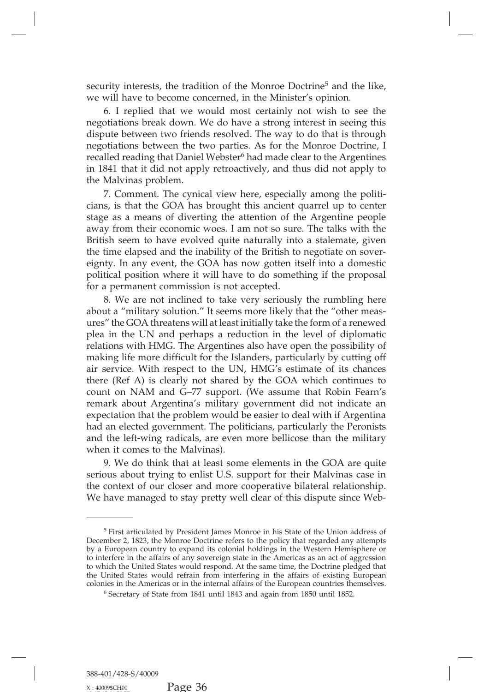security interests, the tradition of the Monroe Doctrine<sup>5</sup> and the like,<br>we will have to become concerned, in the Minister's opinion.<br>6. I replied that we would most certainly not wish to see the

security interests, the tradition of the Monroe Doctrine<sup>5</sup> and the like, we will have to become concerned, in the Minister's opinion.<br>6. I replied that we would most certainly not wish to see the negotiations break down. in the tradition of the Monroe Doctrine<sup>5</sup> and the like,<br>will have to become concerned, in the Minister's opinion.<br>6. I replied that we would most certainly not wish to see the<br>obtiations break down. We do have a strong in security interests, the tradition of the Monroe Doctrine<sup>5</sup> and the like, we will have to become concerned, in the Minister's opinion.<br>6. I replied that we would most certainly not wish to see the negotiations break down. security interests, the tradition of the Monroe Doctrine<sup>5</sup> and the like,<br>we will have to become concerned, in the Minister's opinion.<br>6. I replied that we would most certainly not wish to see the<br>negotiations break down. security interests, the tradition of the Monroe Doctrine<sup>5</sup> and the like, we will have to become concerned, in the Minister's opinion.<br>6. I replied that we would most certainly not wish to see the negotiations break down. we will have to become concerned, in the Minister's opinion.<br>6. I replied that we would most certainly not wish to see the<br>negotiations break down. We do have a strong interest in seeing this<br>dispute between two friends re 6. I replied that we would most certainly not wish to see the negotiations break down. We do have a strong interest in seeing this dispute between two friends resolved. The way to do that is through negotiations between th negotiations break down. W<br>dispute between two friend<br>negotiations between the tv<br>recalled reading that Daniel<br>in 1841 that it did not appl<br>the Malvinas problem.<br>7. Comment. The cynic<br>cians, is that the GOA has but the between two friends resolved. The way to do that is through butations between the two parties. As for the Monroe Doctrine, I<br>lled reading that Daniel Webster<sup>6</sup> had made clear to the Argentines<br>841 that it did not

negotiations between the two parties. As for the Monroe Doctrine, I<br>recalled reading that Daniel Webster<sup>6</sup> had made clear to the Argentines<br>in 1841 that it did not apply retroactively, and thus did not apply to<br>the Malvin recalled reading that Daniel Webster<sup>6</sup> had made clear to the Argentines<br>in 1841 that it did not apply retroactively, and thus did not apply to<br>the Malvinas problem.<br>7. Comment. The cynical view here, especially among the in 1841 that it did not apply retroactively, and thus did not apply to<br>the Malvinas problem.<br>7. Comment. The cynical view here, especially among the politi-<br>cians, is that the GOA has brought this ancient quarrel up to cen the Malvinas problem.<br>
7. Comment. The cynical view here, especially among the politi-<br>
cians, is that the GOA has brought this ancient quarrel up to center<br>
stage as a means of diverting the attention of the Argentine peo 7. Comment. The cynical view here, especially among the politicians, is that the GOA has brought this ancient quarrel up to center stage as a means of diverting the attention of the Argentine people away from their economi cians, is that the GOA has brought this ancient quarrel up to center stage as a means of diverting the attention of the Argentine people away from their economic woes. I am not so sure. The talks with the British seem to h stage as a means of diverting the attention of the Argentine people<br>away from their economic woes. I am not so sure. The talks with the<br>British seem to have evolved quite naturally into a stalemate, given<br>the time elapsed away from their economic woes. I am not so sure<br>British seem to have evolved quite naturally inte<br>the time elapsed and the inability of the British to<br>eignty. In any event, the GOA has now gotten its<br>political position whe Sh seem to have evolved quite naturally into a stalemate, given<br>time elapsed and the inability of the British to negotiate on sover-<br>ty. In any event, the GOA has now gotten itself into a domestic<br>tical position where it w

the time elapsed and the inability of the British to negotiate on sover-<br>eignty. In any event, the GOA has now gotten itself into a domestic<br>political position where it will have to do something if the proposal<br>for a perma eignty. In any event, the GOA has now gotten itself into a domestic<br>political position where it will have to do something if the proposal<br>for a permanent commission is not accepted.<br>8. We are not inclined to take very seri political position where it will have to do something it the proposal<br>for a permanent commission is not accepted.<br>8. We are not inclined to take very seriously the rumbling here<br>about a "military solution." It seems more l for a permanent commission is not accepted.<br>
8. We are not inclined to take very seriously the rumbling here<br>
about a "military solution." It seems more likely that the "other meas-<br>
ures" the GOA threatens will at least i 8. We are not inclined to take very seriously the rumbling here about a "military solution." It seems more likely that the "other measures" the GOA threatens will at least initially take the form of a renewed plea in the U about a "military solution." It seems more likely that the "other meas-<br>ures" the GOA threatens will at least initially take the form of a renewed<br>plea in the UN and perhaps a reduction in the level of diplomatic<br>relations ures" the GOA threatens will at least initially take the form of a renewed<br>plea in the UN and perhaps a reduction in the level of diplomatic<br>relations with HMG. The Argentines also have open the possibility of<br>making life plea in the UN and perhaps a reduction in the level of diplomatic relations with HMG. The Argentines also have open the possibility of making life more difficult for the Islanders, particularly by cutting off air service. relations with HMG. The Argentines also have open the possibility of making life more difficult for the Islanders, particularly by cutting off air service. With respect to the UN, HMG's estimate of its chances there (Ref A making life more difficult for the Islanders, particularly by cutting off air service. With respect to the UN, HMG's estimate of its chances there (Ref A) is clearly not shared by the GOA which continues to count on NAM an air service. With respect to the UN, HMG's estimate of its chances<br>there (Ref A) is clearly not shared by the GOA which continues to<br>count on NAM and G–77 support. (We assume that Robin Fearn's<br>remark about Argentina's mil there (Ref A) is clearly not shared by the GOA which continues to<br>count on NAM and G–77 support. (We assume that Robin Fearn's<br>remark about Argentina's military government did not indicate an<br>expectation that the problem w remark about Argentina's military government did not indicate an expectation that the problem would be easier to deal with if Argentina had an elected government. The politicians, particularly the Peronists and the left-wi ark about Argentina's military government did not indicate an ectation that the problem would be easier to deal with if Argentina an elected government. The politicians, particularly the Peronists the left-wing radicals, a

expectation that the problem would be easier to deal with it Argentina<br>had an elected government. The politicians, particularly the Peronists<br>and the left-wing radicals, are even more bellicose than the military<br>when it co had an elected government. The politicians, particularly the Peronists<br>and the left-wing radicals, are even more bellicose than the military<br>when it comes to the Malvinas).<br>9. We do think that at least some elements in the serious about trying to enlist U.S. support for their Malvinas case in the context of our closer and more cooperative bilateral relationship.<br>We have managed to stay pretty well clear of this dispute since Web-------------

<sup>5</sup> First articulated by President James Monroe in his State of the Union address of December 2, 1823, the Monroe Doctrine refers to the policy that regarded any attempts <sup>5</sup> First articulated by President James Monroe in his State of the Union address of December 2, 1823, the Monroe Doctrine refers to the policy that regarded any attempts by a European country to expand its colonial holdin <sup>5</sup> First articulated by President James Monroe in his State of the Union address of December 2, 1823, the Monroe Doctrine refers to the policy that regarded any attempts by a European country to expand its colonial holdi <sup>5</sup> First articulated by President James Monroe in his State of the Union address of December 2, 1823, the Monroe Doctrine refers to the policy that regarded any attempts by a European country to expand its colonial holdi <sup>5</sup> First articulated by President James Monroe in his State of the Union address of December 2, 1823, the Monroe Doctrine refers to the policy that regarded any attempts by a European country to expand its colonial holdi December 2, 1823, the Monroe Doctrine refers to the policy that regarded any attempts by a European country to expand its colonial holdings in the Western Hemisphere or to interfere in the affairs of any sovereign state in